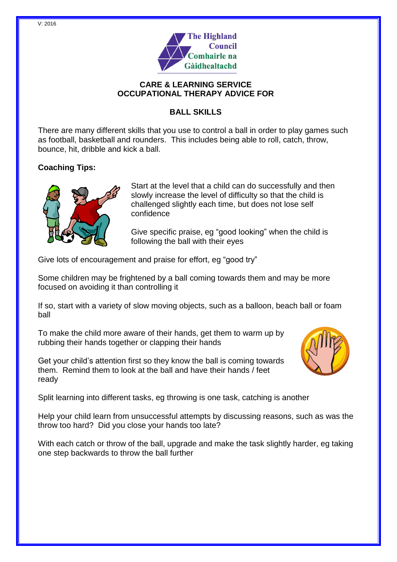

#### **CARE & LEARNING SERVICE OCCUPATIONAL THERAPY ADVICE FOR**

# **BALL SKILLS**

There are many different skills that you use to control a ball in order to play games such as football, basketball and rounders. This includes being able to roll, catch, throw, bounce, hit, dribble and kick a ball.

# **Coaching Tips:**



Start at the level that a child can do successfully and then slowly increase the level of difficulty so that the child is challenged slightly each time, but does not lose self confidence

Give specific praise, eg "good looking" when the child is following the ball with their eyes

Give lots of encouragement and praise for effort, eg "good try"

Some children may be frightened by a ball coming towards them and may be more focused on avoiding it than controlling it

If so, start with a variety of slow moving objects, such as a balloon, beach ball or foam ball

To make the child more aware of their hands, get them to warm up by rubbing their hands together or clapping their hands

Get your child's attention first so they know the ball is coming towards them. Remind them to look at the ball and have their hands / feet ready



Split learning into different tasks, eg throwing is one task, catching is another

Help your child learn from unsuccessful attempts by discussing reasons, such as was the throw too hard? Did you close your hands too late?

With each catch or throw of the ball, upgrade and make the task slightly harder, eg taking one step backwards to throw the ball further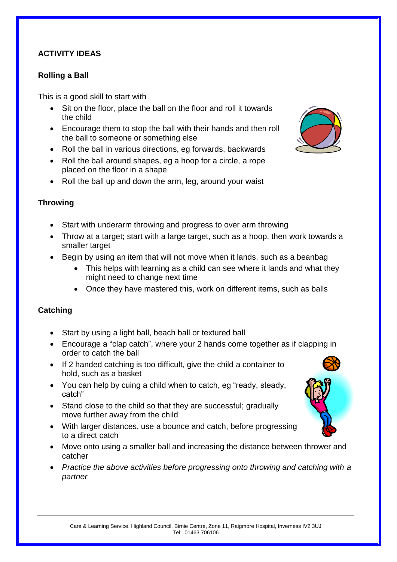## **ACTIVITY IDEAS**

### **Rolling a Ball**

This is a good skill to start with

- Sit on the floor, place the ball on the floor and roll it towards the child
- Encourage them to stop the ball with their hands and then roll the ball to someone or something else
- Roll the ball in various directions, eg forwards, backwards
- Roll the ball around shapes, eg a hoop for a circle, a rope placed on the floor in a shape
- Roll the ball up and down the arm, leg, around your waist

#### **Throwing**

- Start with underarm throwing and progress to over arm throwing
- Throw at a target; start with a large target, such as a hoop, then work towards a smaller target
- Begin by using an item that will not move when it lands, such as a beanbag
	- This helps with learning as a child can see where it lands and what they might need to change next time
	- Once they have mastered this, work on different items, such as balls

#### **Catching**

- Start by using a light ball, beach ball or textured ball
- Encourage a "clap catch", where your 2 hands come together as if clapping in order to catch the ball
- If 2 handed catching is too difficult, give the child a container to hold, such as a basket
- You can help by cuing a child when to catch, eg "ready, steady, catch"
- Stand close to the child so that they are successful; gradually move further away from the child
- With larger distances, use a bounce and catch, before progressing to a direct catch
- Move onto using a smaller ball and increasing the distance between thrower and catcher
- *Practice the above activities before progressing onto throwing and catching with a partner*